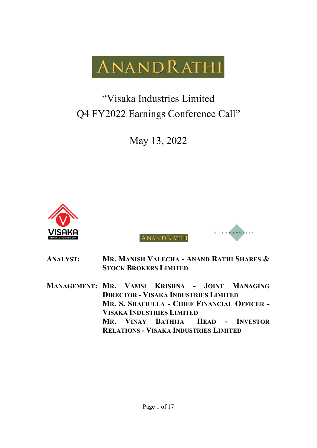**ANANDRATHI** 

# "Visaka Industries Limited Q4 FY2022 Earnings Conference Call"

May 13, 2022



ANANDRATHI



**ANALYST: MR. MANISH VALECHA - ANAND RATHI SHARES & STOCK BROKERS LIMITED**

**MANAGEMENT: MR. VAMSI KRISHNA - JOINT MANAGING DIRECTOR - VISAKA INDUSTRIES LIMITED MR. S. SHAFIULLA - CHIEF FINANCIAL OFFICER - VISAKA INDUSTRIES LIMITED MR. VINAY BATHIJA –HEAD - INVESTOR RELATIONS - VISAKA INDUSTRIES LIMITED**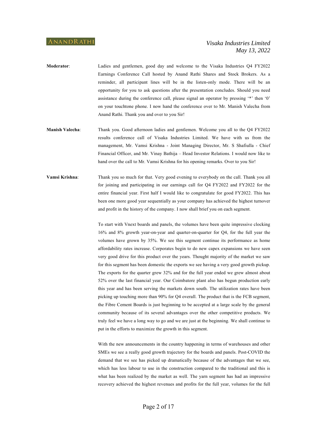- **Moderator**: Ladies and gentlemen, good day and welcome to the Visaka Industries Q4 FY2022 Earnings Conference Call hosted by Anand Rathi Shares and Stock Brokers. As a reminder, all participant lines will be in the listen-only mode. There will be an opportunity for you to ask questions after the presentation concludes. Should you need assistance during the conference call, please signal an operator by pressing '\*' then '0' on your touchtone phone. I now hand the conference over to Mr. Manish Valecha from Anand Rathi. Thank you and over to you Sir!
- **Manish Valecha**: Thank you. Good afternoon ladies and gentlemen. Welcome you all to the Q4 FY2022 results conference call of Visaka Industries Limited. We have with us from the management, Mr. Vamsi Krishna - Joint Managing Director, Mr. S Shafiulla - Chief Financial Officer, and Mr. Vinay Bathija – Head Investor Relations. I would now like to hand over the call to Mr. Vamsi Krishna for his opening remarks. Over to you Sir!
- **Vamsi Krishna**: Thank you so much for that. Very good evening to everybody on the call. Thank you all for joining and participating in our earnings call for Q4 FY2022 and FY2022 for the entire financial year. First half I would like to congratulate for good FY2022. This has been one more good year sequentially as your company has achieved the highest turnover and profit in the history of the company. I now shall brief you on each segment.

To start with Vnext boards and panels, the volumes have been quite impressive clocking 16% and 8% growth year-on-year and quarter-on-quarter for Q4, for the full year the volumes have grown by 35%. We see this segment continue its performance as home affordability rates increase. Corporates begin to do new capex expansions we have seen very good drive for this product over the years. Thought majority of the market we saw for this segment has been domestic the exports we see having a very good growth pickup. The exports for the quarter grew 32% and for the full year ended we grew almost about 52% over the last financial year. Our Coimbatore plant also has begun production early this year and has been serving the markets down south. The utilization rates have been picking up touching more than 90% for Q4 overall. The product that is the FCB segment, the Fibre Cement Boards is just beginning to be accepted at a large scale by the general community because of its several advantages over the other competitive products. We truly feel we have a long way to go and we are just at the beginning. We shall continue to put in the efforts to maximize the growth in this segment.

With the new announcements in the country happening in terms of warehouses and other SMEs we see a really good growth trajectory for the boards and panels. Post-COVID the demand that we see has picked up dramatically because of the advantages that we see, which has less labour to use in the construction compared to the traditional and this is what has been realized by the market as well. The yarn segment has had an impressive recovery achieved the highest revenues and profits for the full year, volumes for the full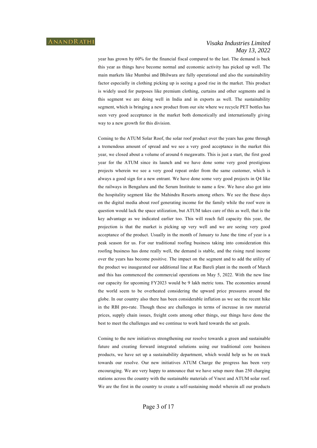year has grown by 60% for the financial fiscal compared to the last. The demand is back this year as things have become normal and economic activity has picked up well. The main markets like Mumbai and Bhilwara are fully operational and also the sustainability factor especially in clothing picking up is seeing a good rise in the market. This product is widely used for purposes like premium clothing, curtains and other segments and in this segment we are doing well in India and in exports as well. The sustainability segment, which is bringing a new product from our site where we recycle PET bottles has seen very good acceptance in the market both domestically and internationally giving way to a new growth for this division.

Coming to the ATUM Solar Roof, the solar roof product over the years has gone through a tremendous amount of spread and we see a very good acceptance in the market this year, we closed about a volume of around 6 megawatts. This is just a start, the first good year for the ATUM since its launch and we have done some very good prestigious projects wherein we see a very good repeat order from the same customer, which is always a good sign for a new entrant. We have done some very good projects in Q4 like the railways in Bengaluru and the Serum Institute to name a few. We have also got into the hospitality segment like the Mahindra Resorts among others. We see the these days on the digital media about roof generating income for the family while the roof were in question would lack the space utilization, but ATUM takes care of this as well, that is the key advantage as we indicated earlier too. This will reach full capacity this year, the projection is that the market is picking up very well and we are seeing very good acceptance of the product. Usually in the month of January to June the time of year is a peak season for us. For our traditional roofing business taking into consideration this roofing business has done really well, the demand is stable, and the rising rural income over the years has become positive. The impact on the segment and to add the utility of the product we inaugurated our additional line at Rae Bareli plant in the month of March and this has commenced the commercial operations on May 5, 2022. With the new line our capacity for upcoming FY2023 would be 9 lakh metric tons. The economies around the world seem to be overheated considering the upward price pressures around the globe. In our country also there has been considerable inflation as we see the recent hike in the RBI pro-rate. Though these are challenges in terms of increase in raw material prices, supply chain issues, freight costs among other things, our things have done the best to meet the challenges and we continue to work hard towards the set goals.

Coming to the new initiatives strengthening our resolve towards a green and sustainable future and creating forward integrated solutions using our traditional core business products, we have set up a sustainability department, which would help us be on track towards our resolve. Our new initiatives ATUM Charge the progress has been very encouraging. We are very happy to announce that we have setup more than 250 charging stations across the country with the sustainable materials of Vnext and ATUM solar roof. We are the first in the country to create a self-sustaining model wherein all our products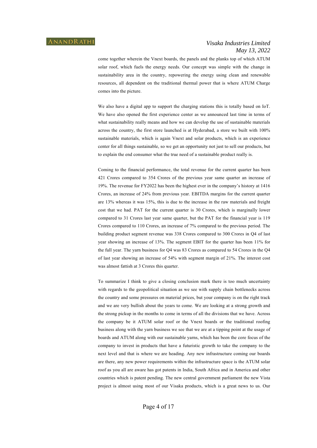come together wherein the Vnext boards, the panels and the planks top of which ATUM solar roof, which fuels the energy needs. Our concept was simple with the change in sustainability area in the country, repowering the energy using clean and renewable resources, all dependent on the traditional thermal power that is where ATUM Charge comes into the picture.

We also have a digital app to support the charging stations this is totally based on IoT. We have also opened the first experience center as we announced last time in terms of what sustainability really means and how we can develop the use of sustainable materials across the country, the first store launched is at Hyderabad, a store we built with 100% sustainable materials, which is again Vnext and solar products, which is an experience center for all things sustainable, so we get an opportunity not just to sell our products, but to explain the end consumer what the true need of a sustainable product really is.

Coming to the financial performance, the total revenue for the current quarter has been 421 Crores compared to 354 Crores of the previous year same quarter an increase of 19%. The revenue for FY2022 has been the highest ever in the company's history at 1416 Crores, an increase of 24% from previous year. EBITDA margins for the current quarter are 13% whereas it was 15%, this is due to the increase in the raw materials and freight cost that we had. PAT for the current quarter is 30 Crores, which is marginally lower compared to 31 Crores last year same quarter, but the PAT for the financial year is 119 Crores compared to 110 Crores, an increase of 7% compared to the previous period. The building product segment revenue was 338 Crores compared to 300 Crores in Q4 of last year showing an increase of 13%. The segment EBIT for the quarter has been 11% for the full year. The yarn business for Q4 was 83 Crores as compared to 54 Crores in the Q4 of last year showing an increase of 54% with segment margin of 21%. The interest cost was almost fattish at 3 Crores this quarter.

To summarize I think to give a closing conclusion mark there is too much uncertainty with regards to the geopolitical situation as we see with supply chain bottlenecks across the country and some pressures on material prices, but your company is on the right track and we are very bullish about the years to come. We are looking at a strong growth and the strong pickup in the months to come in terms of all the divisions that we have. Across the company be it ATUM solar roof or the Vnext boards or the traditional roofing business along with the yarn business we see that we are at a tipping point at the usage of boards and ATUM along with our sustainable yarns, which has been the core focus of the company to invest in products that have a futuristic growth to take the company to the next level and that is where we are heading. Any new infrastructure coming our boards are there, any new power requirements within the infrastructure space is the ATUM solar roof as you all are aware has got patents in India, South Africa and in America and other countries which is patent pending. The new central government parliament the new Vista project is almost using most of our Visaka products, which is a great news to us. Our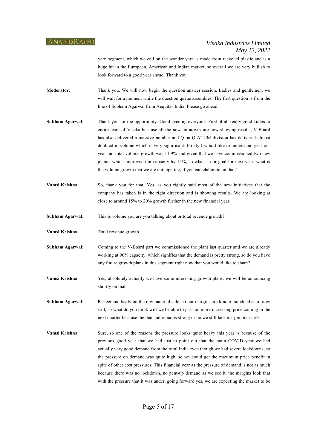yarn segment, which we call on the wonder yarn is made from recycled plastic and is a huge hit in the European, American and Indian market, so overall we are very bullish to look forward to a good year ahead. Thank you.

- **Moderator**: Thank you. We will now begin the question answer session. Ladies and gentlemen, we will wait for a moment while the question queue assembles. The first question is from the line of Subham Agarwal from Aequitas India. Please go ahead.
- **Subham Agarwal**: Thank you for the opportunity. Good evening everyone. First of all really good kudos to entire team of Visaka because all the new initiatives are now showing results, V-Board has also delivered a massive number and Q-on-Q ATUM division has delivered almost doubled in volume which is very significant. Firstly I would like to understand year-onyear our total volume growth was 11.9% and given that we have commissioned two new plants, which improved our capacity by 15%, so what is our goal for next year, what is the volume growth that we are anticipating, if you can elaborate on that?
- **Vamsi Krishna**: So, thank you for that. Yes, as you rightly said most of the new initiatives that the company has taken is in the right direction and is showing results. We are looking at close to around 15% to 20% growth further in the new financial year.
- **Subham Agarwal**: This is volume you are you talking about or total revenue growth?
- **Vamsi Krishna**: Total revenue growth.
- **Subham Agarwal**: Coming to the V-Board part we commissioned the plant last quarter and we are already working at 90% capacity, which signifies that the demand is pretty strong, so do you have any future growth plans in this segment right now that you would like to share?
- **Vamsi Krishna**: Yes, absolutely actually we have some interesting growth plans, we will be announcing shortly on that.
- **Subham Agarwal:** Perfect and lastly on the raw material side, so our margins are kind of subdued as of now still, so what do you think will we be able to pass on more increasing price coming in the next quarter because the demand remains strong or do we still face margin pressure?
- **Vamsi Krishna**: Sure, so one of the reasons the pressure looks quite heavy this year is because of the previous good year that we had just to point out that the main COVID year we had actually very good demand from the rural India even though we had severe lockdowns, so the pressure on demand was quite high, so we could get the maximum price benefit in spite of other cost pressures. This financial year as the pressure of demand is not as much because there was no lockdown, no pent-up demand as we see it, the margins look that with the pressure that it was under, going forward yes, we are expecting the market to be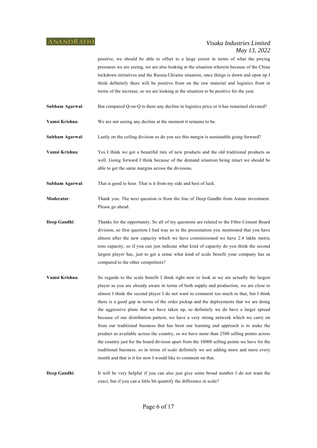positive, we should be able to offset to a large extent in terms of what the pricing pressures we are seeing, we are also looking at the situation wherein because of the China lockdown initiatives and the Russia-Ukraine situation, once things is down and open up I think definitely there will be positive front on the raw material and logistics front in terms of the increase, so we are looking at the situation to be positive for the year.

**Subham Agarwal:** But compared Q-on-Q is there any decline in logistics price or it has remained elevated?

**Vamsi Krishna**: We are not seeing any decline at the moment it remains to be.

**Subham Agarwal**: Lastly on the ceiling division so do you see this margin is sustainable going forward?

**Vamsi Krishna**: Yes I think we got a beautiful mix of new products and the old traditional products as well. Going forward I think because of the demand situation being intact we should be able to get the same margins across the divisions.

**Subham Agarwal:** That is good to hear. That is it from my side and best of luck.

**Moderator**: Thank you. The next question is from the line of Deep Gandhi from Astute investment. Please go ahead.

**Deep Gandhi:** Thanks for the opportunity. So all of my questions are related to the Fibre Cement Board division, so first question I had was so in the presentation you mentioned that you have almost after the new capacity which we have commissioned we have 2.4 lakhs metric tons capacity, so if you can just indicate what kind of capacity do you think the second largest player has, just to get a sense what kind of scale benefit your company has as compared to the other competitors?

**Vamsi Krishna**: So regards to the scale benefit I think right now to look at we are actually the largest player as you are already aware in terms of both supply and production, we are close to almost I think the second player I do not want to comment too much in that, but I think there is a good gap in terms of the order pickup and the deployments that we are doing the aggressive plans that we have taken up, so definitely we do have a larger spread because of our distribution pattern, we have a very strong network which we carry on from our traditional business that has been our learning and approach is to make the product as available across the country, so we have more than 2500 selling points across the country just for the board division apart from the 10000 selling points we have for the traditional business, so in terms of scale definitely we are adding more and more every month and that is it for now I would like to comment on that.

**Deep Gandhi**: It will be very helpful if you can also just give some broad number I do not want the exact, but if you can a little bit quantify the difference in scale?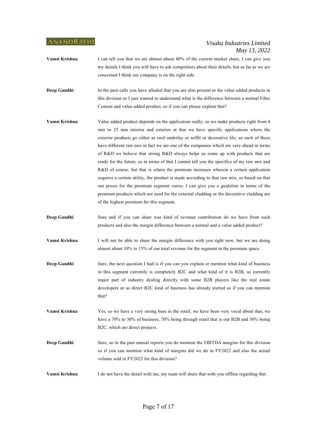- **Vamsi Krishna:** I can tell you that we are almost about 40% of the current market share, I can give you my details I think you will have to ask competitors about their details, but as far as we are concerned I think our company is on the right side.
- **Deep Gandhi**: In the past calls you have alluded that you are also present in the value added products in this division so I just wanted to understand what is the difference between a normal Fibre Cement and value added product, so if you can please explain that?
- **Vamsi Krishna**: Value added product depends on the application really, so we make products right from 4 mm to 25 mm interior and exterior at that we have specific applications where the exterior products go either as roof underlay or soffit or decorative tile, so each of these have different raw mix in fact we are one of the companies which are very ahead in terms of R&D we believe that strong R&D always helps us come up with products that are ready for the future, so in terms of that I cannot tell you the specifics of my raw mix and R&D of course, but that is where the premium increases wherein a certain application requires a certain utility, the product is made according to that raw mix, so based on that our prices for the premium segment varies. I can give you a guideline in terms of the premium products which are used for the external cladding or the decorative cladding are of the highest premium for this segment.
- **Deep Gandhi**: Sure and if you can share was kind of revenue contribution do we have from such products and also the margin difference between a normal and a value added product?
- **Vamsi Krishna**: I will not be able to share the margin difference with you right now, but we are doing almost about 10% to 15% of our total revenue for the segment in the premium space.
- **Deep Gandhi:** Sure, the next question I had is if you can you explain or mention what kind of business in this segment currently is completely B2C and what kind of it is B2B, so currently major part of industry dealing directly with some B2B players like the real estate developers or as direct B2C kind of business has already started so if you can mention that?
- **Vamsi Krishna**: Yes, so we have a very strong base in the retail, we have been very vocal about that, we have a 70% to 30% of business, 70% being through retail that is our B2B and 30% being B2C, which are direct projects.
- **Deep Gandhi:** Sure, so in the past annual reports you do mention the EBITDA margins for this division so if you can mention what kind of margins did we do in FY2022 and also the actual volume sold in FY2022 for this division?
- **Vamsi Krishna**: I do not have the detail with me, my team will share that with you offline regarding that.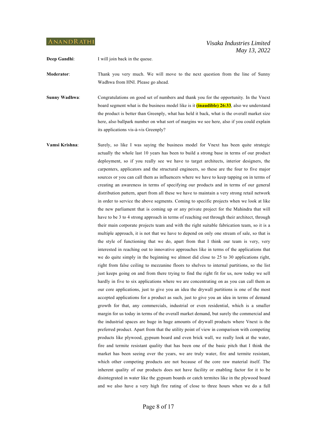**Deep Gandhi**: I will join back in the queue.

**Moderator**: Thank you very much. We will move to the next question from the line of Sunny Wadhwa from HNI. Please go ahead.

**Sunny Wadhwa**: Congratulations on good set of numbers and thank you for the opportunity. In the Vnext board segment what is the business model like is it **(inaudible) 26:33**, also we understand the product is better than Greenply, what has held it back, what is the overall market size here, also ballpark number on what sort of margins we see here, also if you could explain its applications vis-à-vis Greenply?

**Vamsi Krishna:** Surely, so like I was saying the business model for Vnext has been quite strategic actually the whole last 10 years has been to build a strong base in terms of our product deployment, so if you really see we have to target architects, interior designers, the carpenters, applicators and the structural engineers, so these are the four to five major sources or you can call them as influencers where we have to keep tapping on in terms of creating an awareness in terms of specifying our products and in terms of our general distribution pattern, apart from all these we have to maintain a very strong retail network in order to service the above segments. Coming to specific projects when we look at like the new parliament that is coming up or any private project for the Mahindra that will have to be 3 to 4 strong approach in terms of reaching out through their architect, through their main corporate projects team and with the right suitable fabrication team, so it is a multiple approach, it is not that we have to depend on only one stream of sale, so that is the style of functioning that we do, apart from that I think our team is very, very interested in reaching out to innovative approaches like in terms of the applications that we do quite simply in the beginning we almost did close to 25 to 30 applications right, right from false ceiling to mezzanine floors to shelves to internal partitions, so the list just keeps going on and from there trying to find the right fit for us, now today we sell hardly in five to six applications where we are concentrating on as you can call them as our core applications, just to give you an idea the drywall partitions is one of the most accepted applications for a product as such, just to give you an idea in terms of demand growth for that, any commercials, industrial or even residential, which is a smaller margin for us today in terms of the overall market demand, but surely the commercial and the industrial spaces are huge in huge amounts of drywall products where Vnext is the preferred product. Apart from that the utility point of view in comparison with competing products like plywood, gypsum board and even brick wall, we really look at the water, fire and termite resistant quality that has been one of the basic pitch that I think the market has been seeing over the years, we are truly water, fire and termite resistant, which other competing products are not because of the core raw material itself. The inherent quality of our products does not have facility or enabling factor for it to be disintegrated in water like the gypsum boards or catch termites like in the plywood board and we also have a very high fire rating of close to three hours when we do a full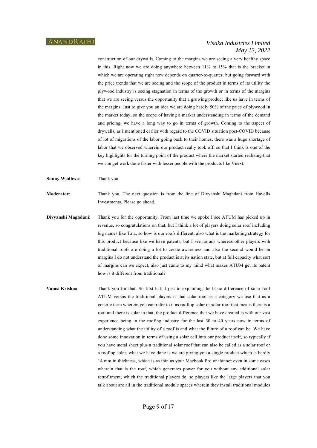construction of our drywalls. Coming to the margins we are seeing a very healthy space in this. Right now we are doing anywhere between 11% to 15% that is the bracket in which we are operating right now depends on quarter-to-quarter, but going forward with the price trends that we are seeing and the scope of the product in terms of its utility the plywood industry is seeing stagnation in terms of the growth or in terms of the margins that we are seeing versus the opportunity that a growing product like us have in terms of the margins. Just to give you an idea we are doing hardly 50% of the price of plywood in the market today, so the scope of having a market understanding in terms of the demand and pricing, we have a long way to go in terms of growth. Coming to the aspect of drywalls, as I mentioned earlier with regard to the COVID situation post-COVID because of lot of migrations of the labor going back to their homes, there was a huge shortage of labor that we observed wherein our product really took off, so that I think is one of the key highlights for the turning point of the product where the market started realizing that we can get work done faster with lesser people with the products like Vnext.

**Sunny Wadhwa**: Thank you.

**Moderator**: Thank you. The next question is from the line of Divyanshi Maghdani from Havells Investments. Please go ahead.

- **Divyanshi Maghdani**: Thank you for the opportunity. From last time we spoke I see ATUM has picked up in revenue, so congratulations on that, but I think a lot of players doing solar roof including big names like Tata, so how is our roofs different, also what is the marketing strategy for this product because like we have patents, but I see no ads whereas other players with traditional roofs are doing a lot to create awareness and also the second would be on margins I do not understand the product is at its nation state, but at full capacity what sort of margins can we expect, also just came to my mind what makes ATUM get its patent how is it different from traditional?
- **Vamsi Krishna**: Thank you for that. So first half I just to explaining the basic difference of solar roof ATUM versus the traditional players is that solar roof as a category we use that as a generic term wherein you can refer to it as rooftop solar or solar roof that means there is a roof and there is solar in that, the product difference that we have created is with our vast experience being in the roofing industry for the last 30 to 40 years now in terms of understanding what the utility of a roof is and what the future of a roof can be. We have done some innovation in terms of using a solar cell into our product itself, so typically if you have metal sheet plus a traditional solar roof that can also be called as a solar roof or a rooftop solar, what we have done is we are giving you a single product which is hardly 14 mm in thickness, which is as thin as your Macbook Pro or thinner even in some cases wherein that is the roof, which generates power for you without any additional solar retrofitment, which the traditional players do, so players like the large players that you talk about are all in the traditional module spaces wherein they install traditional modules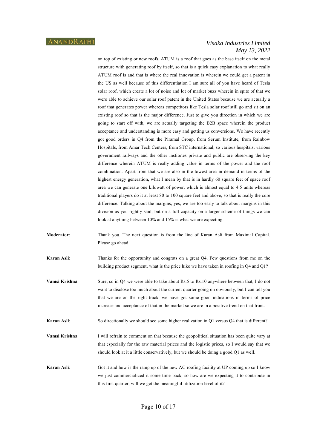on top of existing or new roofs. ATUM is a roof that goes as the base itself on the metal structure with generating roof by itself, so that is a quick easy explanation to what really ATUM roof is and that is where the real innovation is wherein we could get a patent in the US as well because of this differentiation I am sure all of you have heard of Tesla solar roof, which create a lot of noise and lot of market buzz wherein in spite of that we were able to achieve our solar roof patent in the United States because we are actually a roof that generates power whereas competitors like Tesla solar roof still go and sit on an existing roof so that is the major difference. Just to give you direction in which we are going to start off with, we are actually targeting the B2B space wherein the product acceptance and understanding is more easy and getting us conversions. We have recently got good orders in Q4 from the Piramal Group, from Serum Institute, from Rainbow Hospitals, from Amar Tech Centers, from STC international, so various hospitals, various government railways and the other institutes private and public are observing the key difference wherein ATUM is really adding value in terms of the power and the roof combination. Apart from that we are also in the lowest area in demand in terms of the highest energy generation, what I mean by that is in hardly 60 square feet of space roof area we can generate one kilowatt of power, which is almost equal to 4.5 units whereas traditional players do it at least 80 to 100 square feet and above, so that is really the core difference. Talking about the margins, yes, we are too early to talk about margins in this division as you rightly said, but on a full capacity on a larger scheme of things we can look at anything between 10% and 15% is what we are expecting.

- **Moderator**: Thank you. The next question is from the line of Karan Asli from Maximal Capital. Please go ahead.
- **Karan Asli:** Thanks for the opportunity and congrats on a great Q4. Few questions from me on the building product segment, what is the price hike we have taken in roofing in Q4 and Q1?
- **Vamsi Krishna:** Sure, so in Q4 we were able to take about Rs.5 to Rs.10 anywhere between that, I do not want to disclose too much about the current quarter going on obviously, but I can tell you that we are on the right track, we have got some good indications in terms of price increase and acceptance of that in the market so we are in a positive trend on that front.
- **Karan Asli:** So directionally we should see some higher realization in Q1 versus Q4 that is different?
- **Vamsi Krishna**: I will refrain to comment on that because the geopolitical situation has been quite vary at that especially for the raw material prices and the logistic prices, so I would say that we should look at it a little conservatively, but we should be doing a good Q1 as well.
- **Karan Asli:** Got it and how is the ramp up of the new AC roofing facility at UP coming up so I know we just commercialized it some time back, so how are we expecting it to contribute in this first quarter, will we get the meaningful utilization level of it?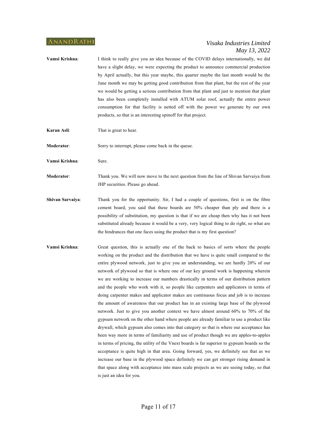- **Vamsi Krishna**: I think to really give you an idea because of the COVID delays internationally, we did have a slight delay, we were expecting the product to announce commercial production by April actually, but this year maybe, this quarter maybe the last month would be the June month we may be getting good contribution from that plant, but the rest of the year we would be getting a serious contribution from that plant and just to mention that plant has also been completely installed with ATUM solar roof, actually the entire power consumption for that facility is netted off with the power we generate by our own products, so that is an interesting spinoff for that project.
- **Karan Asli**: That is great to hear.

**Moderator:** Sorry to interrupt, please come back in the queue.

**Vamsi Krishna**: Sure.

**Moderator:** Thank you. We will now move to the next question from the line of Shivan Sarvaiya from JHP securities. Please go ahead.

- **Shivan Sarvaiya:** Thank you for the opportunity. Sir, I had a couple of questions, first is on the fibre cement board, you said that these boards are 50% cheaper than ply and there is a possibility of substitution, my question is that if we are cheap then why has it not been substituted already because it would be a very, very logical thing to do right, so what are the hindrances that one faces using the product that is my first question?
- **Vamsi Krishna**: Great question, this is actually one of the back to basics of sorts where the people working on the product and the distribution that we have is quite small compared to the entire plywood network, just to give you an understanding, we are hardly 20% of our network of plywood so that is where one of our key ground work is happening wherein we are working to increase our numbers drastically in terms of our distribution pattern and the people who work with it, so people like carpenters and applicators in terms of doing carpenter makes and applicator makes are continuous focus and job is to increase the amount of awareness that our product has in an existing large base of the plywood network. Just to give you another context we have almost around 60% to 70% of the gypsum network on the other hand where people are already familiar to use a product like drywall, which gypsum also comes into that category so that is where our acceptance has been way more in terms of familiarity and use of product though we are apples-to-apples in terms of pricing, the utility of the Vnext boards is far superior to gypsum boards so the acceptance is quite high in that area. Going forward, yes, we definitely see that as we increase our base in the plywood space definitely we can get stronger rising demand in that space along with acceptance into mass scale projects as we are seeing today, so that is just an idea for you.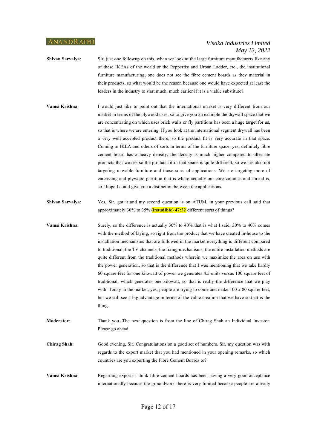- **Shivan Sarvaiya:** Sir, just one followup on this, when we look at the large furniture manufacturers like any of these IKEAs of the world or the Pepperfry and Urban Ladder, etc., the institutional furniture manufacturing, one does not see the fibre cement boards as they material in their products, so what would be the reason because one would have expected at least the leaders in the industry to start much, much earlier if it is a viable substitute?
- **Vamsi Krishna:** I would just like to point out that the international market is very different from our market in terms of the plywood uses, so to give you an example the drywall space that we are concentrating on which uses brick walls or fly partitions has been a huge target for us, so that is where we are entering. If you look at the international segment drywall has been a very well accepted product there, so the product fit is very accurate in that space. Coming to IKEA and others of sorts in terms of the furniture space, yes, definitely fibre cement board has a heavy density; the density is much higher compared to alternate products that we see so the product fit in that space is quite different, so we are also not targeting movable furniture and those sorts of applications. We are targeting more of carcassing and plywood partition that is where actually our core volumes and spread is, so I hope I could give you a distinction between the applications.
- **Shivan Sarvaiya**: Yes, Sir, got it and my second question is on ATUM, in your previous call said that approximately 30% to 35% **(inaudible) 47:32** different sorts of things?
- **Vamsi Krishna:** Surely, so the difference is actually 30% to 40% that is what I said, 30% to 40% comes with the method of laying, so right from the product that we have created in-house to the installation mechanisms that are followed in the market everything is different compared to traditional, the TV channels, the fixing mechanisms, the entire installation methods are quite different from the traditional methods wherein we maximize the area on use with the power generation, so that is the difference that I was mentioning that we take hardly 60 square feet for one kilowatt of power we generates 4.5 units versus 100 square feet of traditional, which generates one kilowatt, so that is really the difference that we play with. Today in the market, yes, people are trying to come and make  $100 \times 80$  square feet, but we still see a big advantage in terms of the value creation that we have so that is the thing.

**Moderator**: Thank you. The next question is from the line of Chirag Shah an Individual Investor. Please go ahead.

**Chirag Shah**: Good evening, Sir. Congratulations on a good set of numbers. Sir, my question was with regards to the export market that you had mentioned in your opening remarks, so which countries are you exporting the Fibre Cement Boards to?

**Vamsi Krishna**: Regarding exports I think fibre cement boards has been having a very good acceptance internationally because the groundwork there is very limited because people are already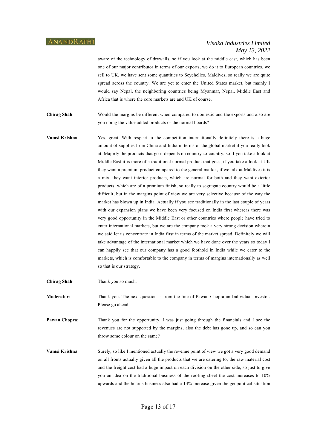aware of the technology of drywalls, so if you look at the middle east, which has been one of our major contributor in terms of our exports, we do it to European countries, we sell to UK, we have sent some quantities to Seychelles, Maldives, so really we are quite spread across the country. We are yet to enter the United States market, but mainly I would say Nepal, the neighboring countries being Myanmar, Nepal, Middle East and Africa that is where the core markets are and UK of course.

**Chirag Shah**: Would the margins be different when compared to domestic and the exports and also are you doing the value added products or the normal boards?

**Vamsi Krishna:** Yes, great. With respect to the competition internationally definitely there is a huge amount of supplies from China and India in terms of the global market if you really look at. Majorly the products that go it depends on country-to-country, so if you take a look at Middle East it is more of a traditional normal product that goes, if you take a look at UK they want a premium product compared to the general market, if we talk at Maldives it is a mix, they want interior products, which are normal for both and they want exterior products, which are of a premium finish, so really to segregate country would be a little difficult, but in the margins point of view we are very selective because of the way the market has blown up in India. Actually if you see traditionally in the last couple of years with our expansion plans we have been very focused on India first whereas there was very good opportunity in the Middle East or other countries where people have tried to enter international markets, but we are the company took a very strong decision wherein we said let us concentrate in India first in terms of the market spread. Definitely we will take advantage of the international market which we have done over the years so today I can happily see that our company has a good foothold in India while we cater to the markets, which is comfortable to the company in terms of margins internationally as well so that is our strategy.

**Chirag Shah**: Thank you so much.

**Moderator**: Thank you. The next question is from the line of Pawan Chopra an Individual Investor. Please go ahead.

**Pawan Chopra:** Thank you for the opportunity. I was just going through the financials and I see the revenues are not supported by the margins, also the debt has gone up, and so can you throw some colour on the same?

**Vamsi Krishna**: Surely, so like I mentioned actually the revenue point of view we got a very good demand on all fronts actually given all the products that we are catering to, the raw material cost and the freight cost had a huge impact on each division on the other side, so just to give you an idea on the traditional business of the roofing sheet the cost increases to 10% upwards and the boards business also had a 13% increase given the geopolitical situation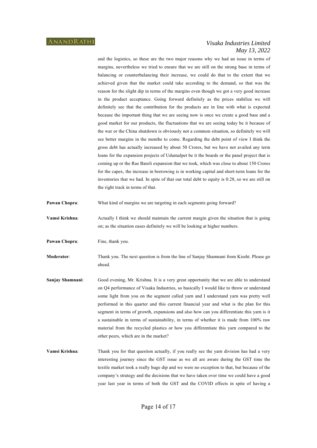and the logistics, so these are the two major reasons why we had an issue in terms of margins, nevertheless we tried to ensure that we are still on the strong base in terms of balancing or counterbalancing their increase, we could do that to the extent that we achieved given that the market could take according to the demand, so that was the reason for the slight dip in terms of the margins even though we got a very good increase in the product acceptance. Going forward definitely as the prices stabilize we will definitely see that the contribution for the products are in line with what is expected because the important thing that we are seeing now is once we create a good base and a good market for our products, the fluctuations that we are seeing today be it because of the war or the China shutdown is obviously not a common situation, so definitely we will see better margins in the months to come. Regarding the debt point of view I think the gross debt has actually increased by about 50 Crores, but we have not availed any term loans for the expansion projects of Udumalpet be it the boards or the panel project that is coming up or the Rae Bareli expansion that we took, which was close to about 150 Crores for the capex, the increase in borrowing is in working capital and short-term loans for the inventories that we had. In spite of that our total debt to equity is 0.28, so we are still on the right track in terms of that.

- **Pawan Chopra:** What kind of margins we are targeting in each segments going forward?
- **Vamsi Krishna**: Actually I think we should maintain the current margin given the situation that is going on; as the situation eases definitely we will be looking at higher numbers.

**Pawan Chopra:** Fine, thank you.

**Moderator**: Thank you. The next question is from the line of Sanjay Shamnani from Kissht. Please go ahead.

- **Sanjay Shamnani**: Good evening, Mr. Krishna. It is a very great opportunity that we are able to understand on Q4 performance of Visaka Industries, so basically I would like to throw or understand some light from you on the segment called yarn and I understand yarn was pretty well performed in this quarter and this current financial year and what is the plan for this segment in terms of growth, expansions and also how can you differentiate this yarn is it a sustainable in terms of sustainability, in terms of whether it is made from 100% raw material from the recycled plastics or how you differentiate this yarn compared to the other peers, which are in the market?
- **Vamsi Krishna**: Thank you for that question actually, if you really see the yarn division has had a very interesting journey since the GST issue as we all are aware during the GST time the textile market took a really huge dip and we were no exception to that, but because of the company's strategy and the decisions that we have taken over time we could have a good year last year in terms of both the GST and the COVID effects in spite of having a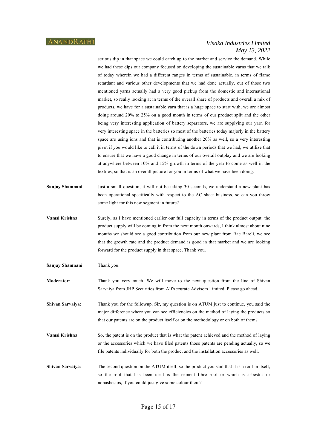serious dip in that space we could catch up to the market and service the demand. While we had these dips our company focused on developing the sustainable yarns that we talk of today wherein we had a different ranges in terms of sustainable, in terms of flame retardant and various other developments that we had done actually, out of those two mentioned yarns actually had a very good pickup from the domestic and international market, so really looking at in terms of the overall share of products and overall a mix of products, we have for a sustainable yarn that is a huge space to start with, we are almost doing around 20% to 25% on a good month in terms of our product split and the other being very interesting application of battery separators, we are supplying our yarn for very interesting space in the batteries so most of the batteries today majorly in the battery space are using ions and that is contributing another 20% as well, so a very interesting pivot if you would like to call it in terms of the down periods that we had, we utilize that to ensure that we have a good change in terms of our overall outplay and we are looking at anywhere between 10% and 15% growth in terms of the year to come as well in the textiles, so that is an overall picture for you in terms of what we have been doing.

- **Sanjay Shamnani:** Just a small question, it will not be taking 30 seconds, we understand a new plant has been operational specifically with respect to the AC sheet business, so can you throw some light for this new segment in future?
- **Vamsi Krishna**: Surely, as I have mentioned earlier our full capacity in terms of the product output, the product supply will be coming in from the next month onwards, I think almost about nine months we should see a good contribution from our new plant from Rae Bareli, we see that the growth rate and the product demand is good in that market and we are looking forward for the product supply in that space. Thank you.
- **Sanjay Shamnani**: Thank you.
- **Moderator:** Thank you very much. We will move to the next question from the line of Shivan Sarvaiya from JHP Securities from AlfAccurate Advisors Limited. Please go ahead.
- **Shivan Sarvaiya:** Thank you for the followup. Sir, my question is on ATUM just to continue, you said the major difference where you can see efficiencies on the method of laying the products so that our patents are on the product itself or on the methodology or on both of them?
- **Vamsi Krishna**: So, the patent is on the product that is what the patent achieved and the method of laying or the accessories which we have filed patents those patents are pending actually, so we file patents individually for both the product and the installation accessories as well.
- **Shivan Sarvaiya:** The second question on the ATUM itself, so the product you said that it is a roof in itself, so the roof that has been used is the cement fibre roof or which is asbestos or nonasbestos, if you could just give some colour there?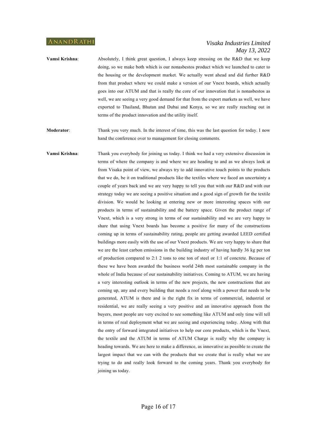**Vamsi Krishna:** Absolutely, I think great question, I always keep stressing on the R&D that we keep doing, so we make both which is our nonasbestos product which we launched to cater to the housing or the development market. We actually went ahead and did further R&D from that product where we could make a version of our Vnext boards, which actually goes into our ATUM and that is really the core of our innovation that is nonasbestos as well, we are seeing a very good demand for that from the export markets as well, we have exported to Thailand, Bhutan and Dubai and Kenya, so we are really reaching out in terms of the product innovation and the utility itself.

**Moderator**: Thank you very much. In the interest of time, this was the last question for today. I now hand the conference over to management for closing comments.

**Vamsi Krishna**: Thank you everybody for joining us today. I think we had a very extensive discussion in terms of where the company is and where we are heading to and as we always look at from Visaka point of view, we always try to add innovative touch points to the products that we do, be it on traditional products like the textiles where we faced an uncertainty a couple of years back and we are very happy to tell you that with our R&D and with our strategy today we are seeing a positive situation and a good sign of growth for the textile division. We would be looking at entering new or more interesting spaces with our products in terms of sustainability and the battery space. Given the product range of Vnext, which is a very strong in terms of our sustainability and we are very happy to share that using Vnext boards has become a positive for many of the constructions coming up in terms of sustainability rating, people are getting awarded LEED certified buildings more easily with the use of our Vnext products. We are very happy to share that we are the least carbon emissions in the building industry of having hardly 36 kg per ton of production compared to 2:1 2 tons to one ton of steel or 1:1 of concrete. Because of these we have been awarded the business world 24th most sustainable company in the whole of India because of our sustainability initiatives. Coming to ATUM, we are having a very interesting outlook in terms of the new projects, the new constructions that are coming up, any and every building that needs a roof along with a power that needs to be generated, ATUM is there and is the right fix in terms of commercial, industrial or residential, we are really seeing a very positive and an innovative approach from the buyers, most people are very excited to see something like ATUM and only time will tell in terms of real deployment what we are seeing and experiencing today. Along with that the entry of forward integrated initiatives to help our core products, which is the Vnext, the textile and the ATUM in terms of ATUM Charge is really why the company is heading towards. We are here to make a difference, as innovative as possible to create the largest impact that we can with the products that we create that is really what we are trying to do and really look forward to the coming years. Thank you everybody for joining us today.